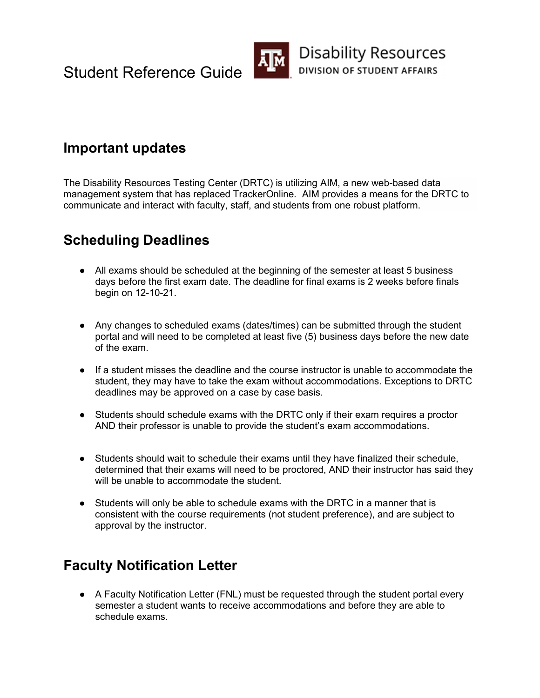

### Important updates

 The Disability Resources Testing Center (DRTC) is utilizing AIM, a new web-based data management system that has replaced TrackerOnline. AIM provides a means for the DRTC to communicate and interact with faculty, staff, and students from one robust platform.

# Scheduling Deadlines

- ● All exams should be scheduled at the beginning of the semester at least 5 business days before the first exam date. The deadline for final exams is 2 weeks before finals begin on 12-10-21.
- ● Any changes to scheduled exams (dates/times) can be submitted through the student portal and will need to be completed at least five (5) business days before the new date of the exam.
- ● If a student misses the deadline and the course instructor is unable to accommodate the student, they may have to take the exam without accommodations. Exceptions to DRTC deadlines may be approved on a case by case basis.
- ● Students should schedule exams with the DRTC only if their exam requires a proctor AND their professor is unable to provide the student's exam accommodations.
- ● Students should wait to schedule their exams until they have finalized their schedule, determined that their exams will need to be proctored, AND their instructor has said they will be unable to accommodate the student.
- Students will only be able to schedule exams with the DRTC in a manner that is consistent with the course requirements (not student preference), and are subject to approval by the instructor.

## Faculty Notification Letter

● A Faculty Notification Letter (FNL) must be requested through the student portal every semester a student wants to receive accommodations and before they are able to schedule exams.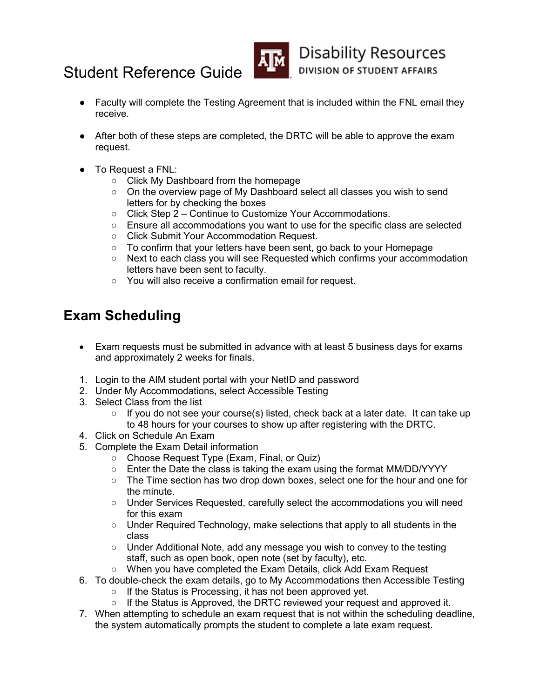



- ● Faculty will complete the Testing Agreement that is included within the FNL email they receive.
- ● After both of these steps are completed, the DRTC will be able to approve the exam request.
- ● To Request a FNL:
	- Click My Dashboard from the homepage
	- On the overview page of My Dashboard select all classes you wish to send letters for by checking the boxes
	- Click Step 2 Continue to Customize Your Accommodations.
	- Ensure all accommodations you want to use for the specific class are selected
	- Click Submit Your Accommodation Request.
	- To confirm that your letters have been sent, go back to your Homepage
	- Next to each class you will see Requested which confirms your accommodation letters have been sent to faculty.
	- You will also receive a confirmation email for request.

## Exam Scheduling

- Exam requests must be submitted in advance with at least 5 business days for exams and approximately 2 weeks for finals.
- 1. Login to the AIM student portal with your NetID and password
- 2. Under My Accommodations, select Accessible Testing
- 3. Select Class from the list
	- $\circ$  If you do not see your course(s) listed, check back at a later date. It can take up to 48 hours for your courses to show up after registering with the DRTC.
- 4. Click on Schedule An Exam
- 5. Complete the Exam Detail information
	- Choose Request Type (Exam, Final, or Quiz)
	- Enter the Date the class is taking the exam using the format MM/DD/YYYY
	- The Time section has two drop down boxes, select one for the hour and one for the minute.
	- ○ Under Services Requested, carefully select the accommodations you will need for this exam
	- Under Required Technology, make selections that apply to all students in the class
	- Under Additional Note, add any message you wish to convey to the testing staff, such as open book, open note (set by faculty), etc.
	- When you have completed the Exam Details, click Add Exam Request
- 6. To double-check the exam details, go to My Accommodations then Accessible Testing
	- If the Status is Processing, it has not been approved yet.
	- If the Status is Approved, the DRTC reviewed your request and approved it.
- 7. When attempting to schedule an exam request that is not within the scheduling deadline, the system automatically prompts the student to complete a late exam request.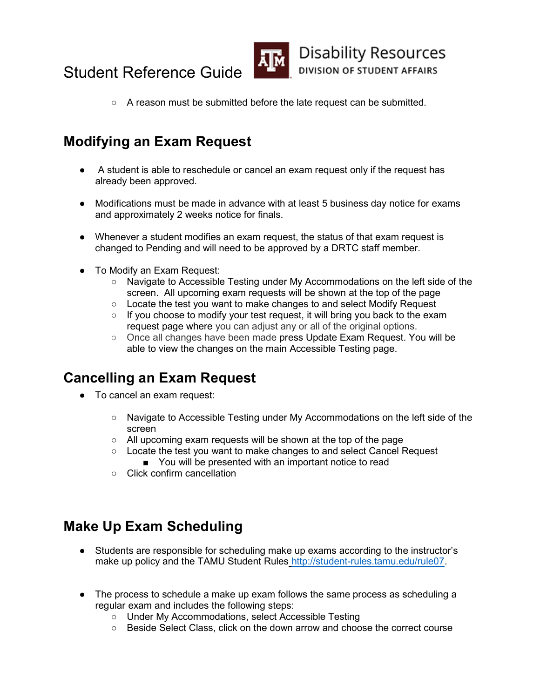



○ A reason must be submitted before the late request can be submitted.

# Modifying an Exam Request

- ● A student is able to reschedule or cancel an exam request only if the request has already been approved.
- ● Modifications must be made in advance with at least 5 business day notice for exams and approximately 2 weeks notice for finals.
- ● Whenever a student modifies an exam request, the status of that exam request is changed to Pending and will need to be approved by a DRTC staff member.
- ● To Modify an Exam Request:
	- Navigate to Accessible Testing under My Accommodations on the left side of the screen. All upcoming exam requests will be shown at the top of the page
	- Locate the test you want to make changes to and select Modify Request
	- If you choose to modify your test request, it will bring you back to the exam request page where you can adjust any or all of the original options.
	- Once all changes have been made press Update Exam Request. You will be able to view the changes on the main Accessible Testing page.

### Cancelling an Exam Request

- ● To cancel an exam request:
	- Navigate to Accessible Testing under My Accommodations on the left side of the screen
	- All upcoming exam requests will be shown at the top of the page
	- You will be presented with an important notice to read ○ Locate the test you want to make changes to and select Cancel Request
	- Click confirm cancellation

## Make Up Exam Scheduling

- ● Students are responsible for scheduling make up exams according to the instructor's make up policy and the TAMU Student Rules http://student-rules.tamu.edu/rule07.
- ● The process to schedule a make up exam follows the same process as scheduling a regular exam and includes the following steps:
	- Under My Accommodations, select Accessible Testing
	- Beside Select Class, click on the down arrow and choose the correct course